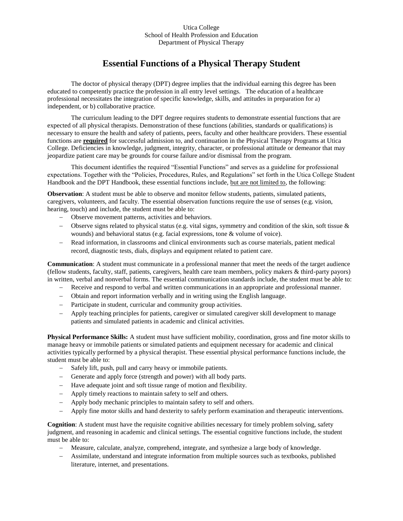## Utica College School of Health Profession and Education Department of Physical Therapy

## **Essential Functions of a Physical Therapy Student**

The doctor of physical therapy (DPT) degree implies that the individual earning this degree has been educated to competently practice the profession in all entry level settings. The education of a healthcare professional necessitates the integration of specific knowledge, skills, and attitudes in preparation for a) independent, or b) collaborative practice.

The curriculum leading to the DPT degree requires students to demonstrate essential functions that are expected of all physical therapists. Demonstration of these functions (abilities, standards or qualifications) is necessary to ensure the health and safety of patients, peers, faculty and other healthcare providers. These essential functions are **required** for successful admission to, and continuation in the Physical Therapy Programs at Utica College. Deficiencies in knowledge, judgment, integrity, character, or professional attitude or demeanor that may jeopardize patient care may be grounds for course failure and/or dismissal from the program.

This document identifies the required "Essential Functions" and serves as a guideline for professional expectations. Together with the "Policies, Procedures, Rules, and Regulations" set forth in the Utica College Student Handbook and the DPT Handbook, these essential functions include, but are not limited to, the following:

**Observation**: A student must be able to observe and monitor fellow students, patients, simulated patients, caregivers, volunteers, and faculty. The essential observation functions require the use of senses (e.g. vision, hearing, touch) and include, the student must be able to:

- Observe movement patterns, activities and behaviors.
- $\sim$  Observe signs related to physical status (e.g. vital signs, symmetry and condition of the skin, soft tissue & wounds) and behavioral status (e.g. facial expressions, tone & volume of voice).
- Read information, in classrooms and clinical environments such as course materials, patient medical record, diagnostic tests, dials, displays and equipment related to patient care.

**Communication**: A student must communicate in a professional manner that meet the needs of the target audience (fellow students, faculty, staff, patients, caregivers, health care team members, policy makers & third-party payors) in written, verbal and nonverbal forms. The essential communication standards include, the student must be able to:

- Receive and respond to verbal and written communications in an appropriate and professional manner.
- Obtain and report information verbally and in writing using the English language.
- Participate in student, curricular and community group activities.
- Apply teaching principles for patients, caregiver or simulated caregiver skill development to manage patients and simulated patients in academic and clinical activities.

**Physical Performance Skills:** A student must have sufficient mobility, coordination, gross and fine motor skills to manage heavy or immobile patients or simulated patients and equipment necessary for academic and clinical activities typically performed by a physical therapist. These essential physical performance functions include, the student must be able to:

- Safely lift, push, pull and carry heavy or immobile patients.
- Generate and apply force (strength and power) with all body parts.
- Have adequate joint and soft tissue range of motion and flexibility.
- Apply timely reactions to maintain safety to self and others.
- Apply body mechanic principles to maintain safety to self and others.
- Apply fine motor skills and hand dexterity to safely perform examination and therapeutic interventions.

**Cognition**: A student must have the requisite cognitive abilities necessary for timely problem solving, safety judgment, and reasoning in academic and clinical settings. The essential cognitive functions include, the student must be able to:

- Measure, calculate, analyze, comprehend, integrate, and synthesize a large body of knowledge.
- Assimilate, understand and integrate information from multiple sources such as textbooks, published literature, internet, and presentations.